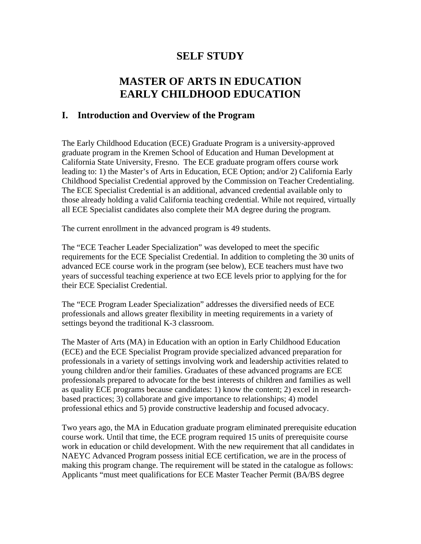# **SELF STUDY**

# **MASTER OF ARTS IN EDUCATION EARLY CHILDHOOD EDUCATION**

## **I. Introduction and Overview of the Program**

The Early Childhood Education (ECE) Graduate Program is a university-approved graduate program in the Kremen School of Education and Human Development at California State University, Fresno. The ECE graduate program offers course work leading to: 1) the Master's of Arts in Education, ECE Option; and/or 2) California Early Childhood Specialist Credential approved by the Commission on Teacher Credentialing. The ECE Specialist Credential is an additional, advanced credential available only to those already holding a valid California teaching credential. While not required, virtually all ECE Specialist candidates also complete their MA degree during the program.

The current enrollment in the advanced program is 49 students.

The "ECE Teacher Leader Specialization" was developed to meet the specific requirements for the ECE Specialist Credential. In addition to completing the 30 units of advanced ECE course work in the program (see below), ECE teachers must have two years of successful teaching experience at two ECE levels prior to applying for the for their ECE Specialist Credential.

The "ECE Program Leader Specialization" addresses the diversified needs of ECE professionals and allows greater flexibility in meeting requirements in a variety of settings beyond the traditional K-3 classroom.

The Master of Arts (MA) in Education with an option in Early Childhood Education (ECE) and the ECE Specialist Program provide specialized advanced preparation for professionals in a variety of settings involving work and leadership activities related to young children and/or their families. Graduates of these advanced programs are ECE professionals prepared to advocate for the best interests of children and families as well as quality ECE programs because candidates: 1) know the content; 2) excel in researchbased practices; 3) collaborate and give importance to relationships; 4) model professional ethics and 5) provide constructive leadership and focused advocacy.

Two years ago, the MA in Education graduate program eliminated prerequisite education course work. Until that time, the ECE program required 15 units of prerequisite course work in education or child development. With the new requirement that all candidates in NAEYC Advanced Program possess initial ECE certification, we are in the process of making this program change. The requirement will be stated in the catalogue as follows: Applicants "must meet qualifications for ECE Master Teacher Permit (BA/BS degree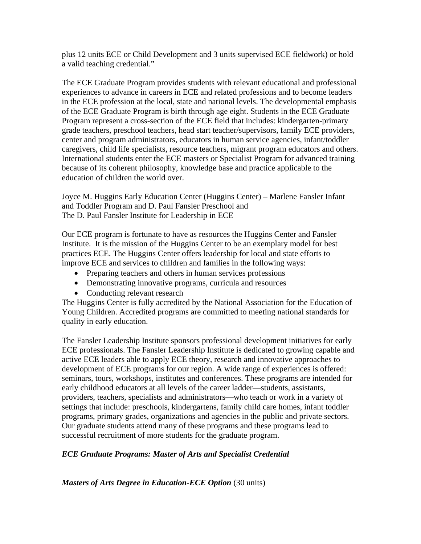plus 12 units ECE or Child Development and 3 units supervised ECE fieldwork) or hold a valid teaching credential."

The ECE Graduate Program provides students with relevant educational and professional experiences to advance in careers in ECE and related professions and to become leaders in the ECE profession at the local, state and national levels. The developmental emphasis of the ECE Graduate Program is birth through age eight. Students in the ECE Graduate Program represent a cross-section of the ECE field that includes: kindergarten-primary grade teachers, preschool teachers, head start teacher/supervisors, family ECE providers, center and program administrators, educators in human service agencies, infant/toddler caregivers, child life specialists, resource teachers, migrant program educators and others. International students enter the ECE masters or Specialist Program for advanced training because of its coherent philosophy, knowledge base and practice applicable to the education of children the world over.

Joyce M. Huggins Early Education Center (Huggins Center) – Marlene Fansler Infant and Toddler Program and D. Paul Fansler Preschool and The D. Paul Fansler Institute for Leadership in ECE

Our ECE program is fortunate to have as resources the Huggins Center and Fansler Institute. It is the mission of the Huggins Center to be an exemplary model for best practices ECE. The Huggins Center offers leadership for local and state efforts to improve ECE and services to children and families in the following ways:

- Preparing teachers and others in human services professions
- Demonstrating innovative programs, curricula and resources
- Conducting relevant research

The Huggins Center is fully accredited by the National Association for the Education of Young Children. Accredited programs are committed to meeting national standards for quality in early education.

The Fansler Leadership Institute sponsors professional development initiatives for early ECE professionals. The Fansler Leadership Institute is dedicated to growing capable and active ECE leaders able to apply ECE theory, research and innovative approaches to development of ECE programs for our region. A wide range of experiences is offered: seminars, tours, workshops, institutes and conferences. These programs are intended for early childhood educators at all levels of the career ladder—students, assistants, providers, teachers, specialists and administrators—who teach or work in a variety of settings that include: preschools, kindergartens, family child care homes, infant toddler programs, primary grades, organizations and agencies in the public and private sectors. Our graduate students attend many of these programs and these programs lead to successful recruitment of more students for the graduate program.

## *ECE Graduate Programs: Master of Arts and Specialist Credential*

*Masters of Arts Degree in Education-ECE Option* (30 units)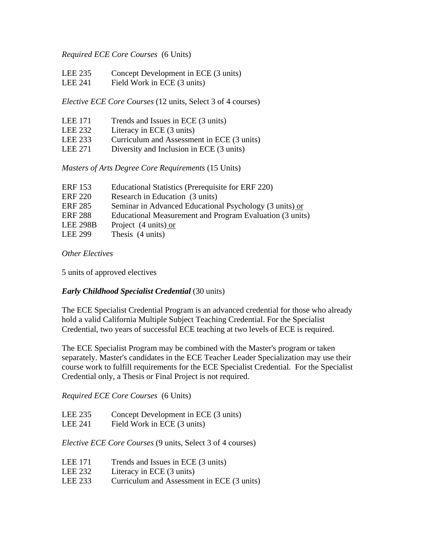#### *Required ECE Core Courses* (6 Units)

- LEE 235 Concept Development in ECE (3 units)
- LEE 241 Field Work in ECE (3 units)

*Elective ECE Core Courses* (12 units, Select 3 of 4 courses)

- LEE 171 Trends and Issues in ECE (3 units)
- LEE 232 Literacy in ECE (3 units)
- LEE 233 Curriculum and Assessment in ECE (3 units)
- LEE 271 Diversity and Inclusion in ECE (3 units)

*Masters of Arts Degree Core Requirements* (15 Units)

| <b>ERF</b> 153  | Educational Statistics (Prerequisite for ERF 220)        |
|-----------------|----------------------------------------------------------|
| <b>ERF 220</b>  | Research in Education (3 units)                          |
| <b>ERF 285</b>  | Seminar in Advanced Educational Psychology (3 units) or  |
| <b>ERF 288</b>  | Educational Measurement and Program Evaluation (3 units) |
| <b>LEE 298B</b> | Project (4 units) or                                     |
| <b>LEE 299</b>  | Thesis (4 units)                                         |

*Other Electives* 

5 units of approved electives

## *Early Childhood Specialist Credential* (30 units)

The ECE Specialist Credential Program is an advanced credential for those who already hold a valid California Multiple Subject Teaching Credential. For the Specialist Credential, two years of successful ECE teaching at two levels of ECE is required.

The ECE Specialist Program may be combined with the Master's program or taken separately. Master's candidates in the ECE Teacher Leader Specialization may use their course work to fulfill requirements for the ECE Specialist Credential. For the Specialist Credential only, a Thesis or Final Project is not required.

*Required ECE Core Courses* (6 Units)

| LEE 235                                     | Concept Development in ECE (3 units)  |
|---------------------------------------------|---------------------------------------|
| $T$ $\Gamma$ $\Gamma$ $\Delta$ $\Delta$ 1.1 | $E'$ 11 $W$ 1 $\cdot$ $R$ $R$ $R$ $A$ |

LEE 241 Field Work in ECE (3 units)

*Elective ECE Core Courses* (9 units, Select 3 of 4 courses)

- LEE 171 Trends and Issues in ECE (3 units)
- LEE 232 Literacy in ECE (3 units)
- LEE 233 Curriculum and Assessment in ECE (3 units)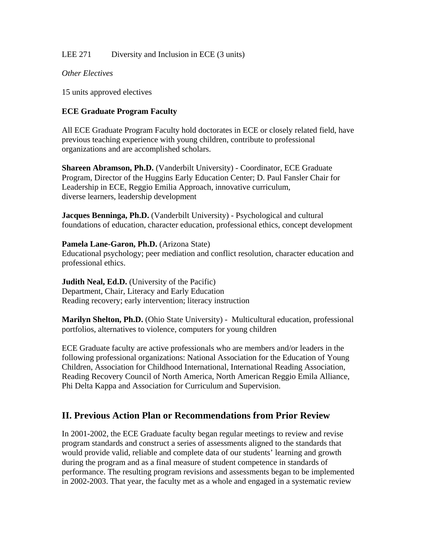## LEE 271 Diversity and Inclusion in ECE (3 units)

#### *Other Electives*

15 units approved electives

#### **ECE Graduate Program Faculty**

All ECE Graduate Program Faculty hold doctorates in ECE or closely related field, have previous teaching experience with young children, contribute to professional organizations and are accomplished scholars.

**Shareen Abramson, Ph.D.** (Vanderbilt University) - Coordinator, ECE Graduate Program, Director of the Huggins Early Education Center; D. Paul Fansler Chair for Leadership in ECE, Reggio Emilia Approach, innovative curriculum, diverse learners, leadership development

**Jacques Benninga, Ph.D.** (Vanderbilt University) - Psychological and cultural foundations of education, character education, professional ethics, concept development

#### **Pamela Lane-Garon, Ph.D.** (Arizona State)

Educational psychology; peer mediation and conflict resolution, character education and professional ethics.

**Judith Neal, Ed.D.** (University of the Pacific) Department, Chair, Literacy and Early Education Reading recovery; early intervention; literacy instruction

**Marilyn Shelton, Ph.D.** (Ohio State University) - Multicultural education, professional portfolios, alternatives to violence, computers for young children

ECE Graduate faculty are active professionals who are members and/or leaders in the following professional organizations: National Association for the Education of Young Children, Association for Childhood International, International Reading Association, Reading Recovery Council of North America, North American Reggio Emila Alliance, Phi Delta Kappa and Association for Curriculum and Supervision.

# **II. Previous Action Plan or Recommendations from Prior Review**

In 2001-2002, the ECE Graduate faculty began regular meetings to review and revise program standards and construct a series of assessments aligned to the standards that would provide valid, reliable and complete data of our students' learning and growth during the program and as a final measure of student competence in standards of performance. The resulting program revisions and assessments began to be implemented in 2002-2003. That year, the faculty met as a whole and engaged in a systematic review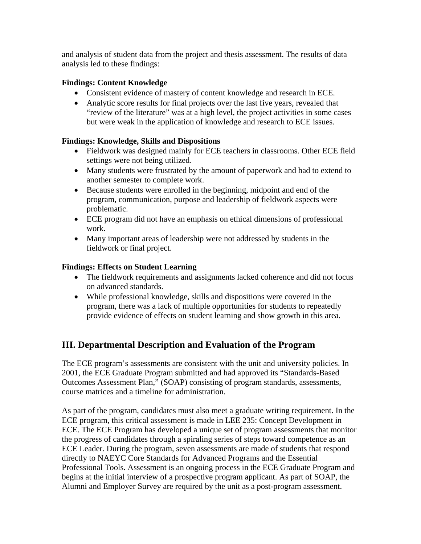and analysis of student data from the project and thesis assessment. The results of data analysis led to these findings:

## **Findings: Content Knowledge**

- Consistent evidence of mastery of content knowledge and research in ECE.
- Analytic score results for final projects over the last five years, revealed that "review of the literature" was at a high level, the project activities in some cases but were weak in the application of knowledge and research to ECE issues.

## **Findings: Knowledge, Skills and Dispositions**

- Fieldwork was designed mainly for ECE teachers in classrooms. Other ECE field settings were not being utilized.
- Many students were frustrated by the amount of paperwork and had to extend to another semester to complete work.
- Because students were enrolled in the beginning, midpoint and end of the program, communication, purpose and leadership of fieldwork aspects were problematic.
- ECE program did not have an emphasis on ethical dimensions of professional work.
- Many important areas of leadership were not addressed by students in the fieldwork or final project.

## **Findings: Effects on Student Learning**

- The fieldwork requirements and assignments lacked coherence and did not focus on advanced standards.
- While professional knowledge, skills and dispositions were covered in the program, there was a lack of multiple opportunities for students to repeatedly provide evidence of effects on student learning and show growth in this area.

# **III. Departmental Description and Evaluation of the Program**

The ECE program's assessments are consistent with the unit and university policies. In 2001, the ECE Graduate Program submitted and had approved its "Standards-Based Outcomes Assessment Plan," (SOAP) consisting of program standards, assessments, course matrices and a timeline for administration.

As part of the program, candidates must also meet a graduate writing requirement. In the ECE program, this critical assessment is made in LEE 235: Concept Development in ECE. The ECE Program has developed a unique set of program assessments that monitor the progress of candidates through a spiraling series of steps toward competence as an ECE Leader. During the program, seven assessments are made of students that respond directly to NAEYC Core Standards for Advanced Programs and the Essential Professional Tools. Assessment is an ongoing process in the ECE Graduate Program and begins at the initial interview of a prospective program applicant. As part of SOAP, the Alumni and Employer Survey are required by the unit as a post-program assessment.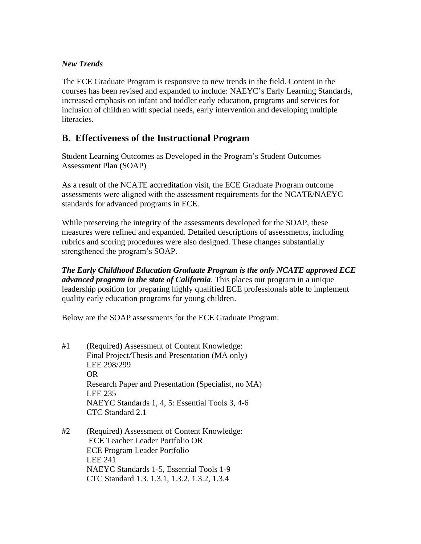## *New Trends*

The ECE Graduate Program is responsive to new trends in the field. Content in the courses has been revised and expanded to include: NAEYC's Early Learning Standards, increased emphasis on infant and toddler early education, programs and services for inclusion of children with special needs, early intervention and developing multiple literacies.

# **B. Effectiveness of the Instructional Program**

Student Learning Outcomes as Developed in the Program's Student Outcomes Assessment Plan (SOAP)

As a result of the NCATE accreditation visit, the ECE Graduate Program outcome assessments were aligned with the assessment requirements for the NCATE/NAEYC standards for advanced programs in ECE.

While preserving the integrity of the assessments developed for the SOAP, these measures were refined and expanded. Detailed descriptions of assessments, including rubrics and scoring procedures were also designed. These changes substantially strengthened the program's SOAP.

*The Early Childhood Education Graduate Program is the only NCATE approved ECE advanced program in the state of California*. This places our program in a unique leadership position for preparing highly qualified ECE professionals able to implement quality early education programs for young children.

Below are the SOAP assessments for the ECE Graduate Program:

- #1 (Required) Assessment of Content Knowledge: Final Project/Thesis and Presentation (MA only) LEE 298/299 OR Research Paper and Presentation (Specialist, no MA) LEE 235 NAEYC Standards 1, 4, 5: Essential Tools 3, 4-6 CTC Standard 2.1
- #2 (Required) Assessment of Content Knowledge: ECE Teacher Leader Portfolio OR ECE Program Leader Portfolio LEE 241 NAEYC Standards 1-5, Essential Tools 1-9 CTC Standard 1.3. 1.3.1, 1.3.2, 1.3.2, 1.3.4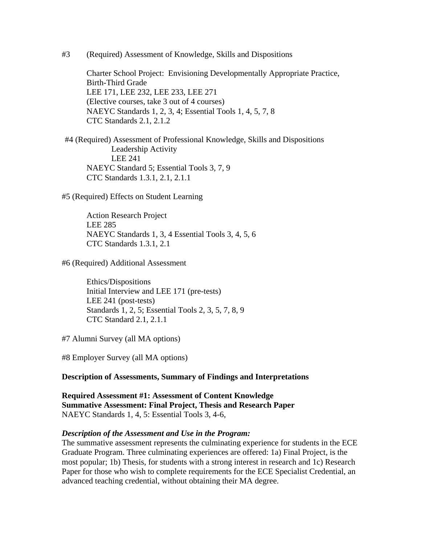#3 (Required) Assessment of Knowledge, Skills and Dispositions

Charter School Project: Envisioning Developmentally Appropriate Practice, Birth-Third Grade LEE 171, LEE 232, LEE 233, LEE 271 (Elective courses, take 3 out of 4 courses) NAEYC Standards 1, 2, 3, 4; Essential Tools 1, 4, 5, 7, 8 CTC Standards 2.1, 2.1.2

#4 (Required) Assessment of Professional Knowledge, Skills and Dispositions Leadership Activity LEE 241 NAEYC Standard 5; Essential Tools 3, 7, 9 CTC Standards 1.3.1, 2.1, 2.1.1

#5 (Required) Effects on Student Learning

 Action Research Project LEE 285 NAEYC Standards 1, 3, 4 Essential Tools 3, 4, 5, 6 CTC Standards 1.3.1, 2.1

#6 (Required) Additional Assessment

 Ethics/Dispositions Initial Interview and LEE 171 (pre-tests) LEE 241 (post-tests) Standards 1, 2, 5; Essential Tools 2, 3, 5, 7, 8, 9 CTC Standard 2.1, 2.1.1

#7 Alumni Survey (all MA options)

#8 Employer Survey (all MA options)

#### **Description of Assessments, Summary of Findings and Interpretations**

**Required Assessment #1: Assessment of Content Knowledge Summative Assessment: Final Project, Thesis and Research Paper**  NAEYC Standards 1, 4, 5: Essential Tools 3, 4-6,

#### *Description of the Assessment and Use in the Program:*

The summative assessment represents the culminating experience for students in the ECE Graduate Program. Three culminating experiences are offered: 1a) Final Project, is the most popular; 1b) Thesis, for students with a strong interest in research and 1c) Research Paper for those who wish to complete requirements for the ECE Specialist Credential, an advanced teaching credential, without obtaining their MA degree.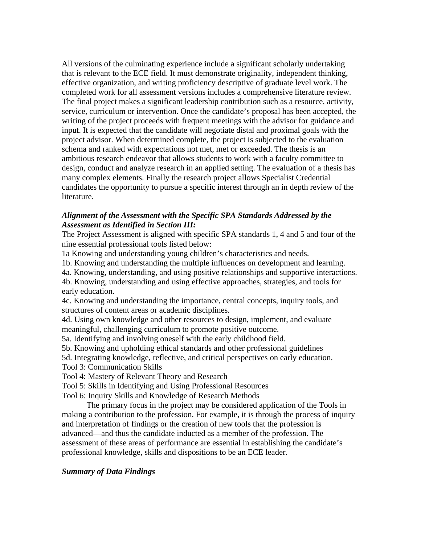All versions of the culminating experience include a significant scholarly undertaking that is relevant to the ECE field. It must demonstrate originality, independent thinking, effective organization, and writing proficiency descriptive of graduate level work. The completed work for all assessment versions includes a comprehensive literature review. The final project makes a significant leadership contribution such as a resource, activity, service, curriculum or intervention. Once the candidate's proposal has been accepted, the writing of the project proceeds with frequent meetings with the advisor for guidance and input. It is expected that the candidate will negotiate distal and proximal goals with the project advisor. When determined complete, the project is subjected to the evaluation schema and ranked with expectations not met, met or exceeded. The thesis is an ambitious research endeavor that allows students to work with a faculty committee to design, conduct and analyze research in an applied setting. The evaluation of a thesis has many complex elements. Finally the research project allows Specialist Credential candidates the opportunity to pursue a specific interest through an in depth review of the literature.

#### *Alignment of the Assessment with the Specific SPA Standards Addressed by the Assessment as Identified in Section III:*

The Project Assessment is aligned with specific SPA standards 1, 4 and 5 and four of the nine essential professional tools listed below:

1a Knowing and understanding young children's characteristics and needs.

1b. Knowing and understanding the multiple influences on development and learning.

4a. Knowing, understanding, and using positive relationships and supportive interactions.

4b. Knowing, understanding and using effective approaches, strategies, and tools for early education.

4c. Knowing and understanding the importance, central concepts, inquiry tools, and structures of content areas or academic disciplines.

4d. Using own knowledge and other resources to design, implement, and evaluate meaningful, challenging curriculum to promote positive outcome.

5a. Identifying and involving oneself with the early childhood field.

5b. Knowing and upholding ethical standards and other professional guidelines

5d. Integrating knowledge, reflective, and critical perspectives on early education.

Tool 3: Communication Skills

Tool 4: Mastery of Relevant Theory and Research

Tool 5: Skills in Identifying and Using Professional Resources

Tool 6: Inquiry Skills and Knowledge of Research Methods

 The primary focus in the project may be considered application of the Tools in making a contribution to the profession. For example, it is through the process of inquiry and interpretation of findings or the creation of new tools that the profession is advanced—and thus the candidate inducted as a member of the profession. The assessment of these areas of performance are essential in establishing the candidate's professional knowledge, skills and dispositions to be an ECE leader.

#### *Summary of Data Findings*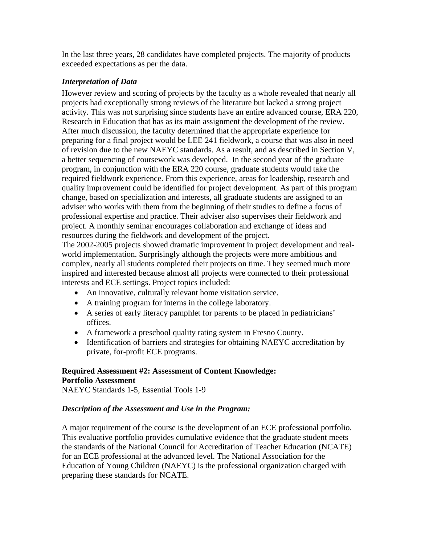In the last three years, 28 candidates have completed projects. The majority of products exceeded expectations as per the data.

## *Interpretation of Data*

However review and scoring of projects by the faculty as a whole revealed that nearly all projects had exceptionally strong reviews of the literature but lacked a strong project activity. This was not surprising since students have an entire advanced course, ERA 220, Research in Education that has as its main assignment the development of the review. After much discussion, the faculty determined that the appropriate experience for preparing for a final project would be LEE 241 fieldwork, a course that was also in need of revision due to the new NAEYC standards. As a result, and as described in Section V, a better sequencing of coursework was developed. In the second year of the graduate program, in conjunction with the ERA 220 course, graduate students would take the required fieldwork experience. From this experience, areas for leadership, research and quality improvement could be identified for project development. As part of this program change, based on specialization and interests, all graduate students are assigned to an adviser who works with them from the beginning of their studies to define a focus of professional expertise and practice. Their adviser also supervises their fieldwork and project. A monthly seminar encourages collaboration and exchange of ideas and resources during the fieldwork and development of the project.

The 2002-2005 projects showed dramatic improvement in project development and realworld implementation. Surprisingly although the projects were more ambitious and complex, nearly all students completed their projects on time. They seemed much more inspired and interested because almost all projects were connected to their professional interests and ECE settings. Project topics included:

- An innovative, culturally relevant home visitation service.
- A training program for interns in the college laboratory.
- A series of early literacy pamphlet for parents to be placed in pediatricians' offices.
- A framework a preschool quality rating system in Fresno County.
- Identification of barriers and strategies for obtaining NAEYC accreditation by private, for-profit ECE programs.

# **Required Assessment #2: Assessment of Content Knowledge: Portfolio Assessment**

NAEYC Standards 1-5, Essential Tools 1-9

## *Description of the Assessment and Use in the Program:*

A major requirement of the course is the development of an ECE professional portfolio. This evaluative portfolio provides cumulative evidence that the graduate student meets the standards of the National Council for Accreditation of Teacher Education (NCATE) for an ECE professional at the advanced level. The National Association for the Education of Young Children (NAEYC) is the professional organization charged with preparing these standards for NCATE.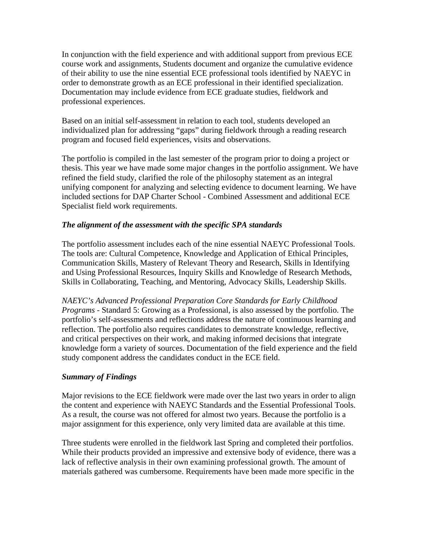In conjunction with the field experience and with additional support from previous ECE course work and assignments, Students document and organize the cumulative evidence of their ability to use the nine essential ECE professional tools identified by NAEYC in order to demonstrate growth as an ECE professional in their identified specialization. Documentation may include evidence from ECE graduate studies, fieldwork and professional experiences.

Based on an initial self-assessment in relation to each tool, students developed an individualized plan for addressing "gaps" during fieldwork through a reading research program and focused field experiences, visits and observations.

The portfolio is compiled in the last semester of the program prior to doing a project or thesis. This year we have made some major changes in the portfolio assignment. We have refined the field study, clarified the role of the philosophy statement as an integral unifying component for analyzing and selecting evidence to document learning. We have included sections for DAP Charter School - Combined Assessment and additional ECE Specialist field work requirements.

#### *The alignment of the assessment with the specific SPA standards*

The portfolio assessment includes each of the nine essential NAEYC Professional Tools. The tools are: Cultural Competence, Knowledge and Application of Ethical Principles, Communication Skills, Mastery of Relevant Theory and Research, Skills in Identifying and Using Professional Resources, Inquiry Skills and Knowledge of Research Methods, Skills in Collaborating, Teaching, and Mentoring, Advocacy Skills, Leadership Skills.

*NAEYC's Advanced Professional Preparation Core Standards for Early Childhood Programs -* Standard 5: Growing as a Professional, is also assessed by the portfolio. The portfolio's self-assessments and reflections address the nature of continuous learning and reflection. The portfolio also requires candidates to demonstrate knowledge, reflective, and critical perspectives on their work, and making informed decisions that integrate knowledge form a variety of sources. Documentation of the field experience and the field study component address the candidates conduct in the ECE field.

## *Summary of Findings*

Major revisions to the ECE fieldwork were made over the last two years in order to align the content and experience with NAEYC Standards and the Essential Professional Tools. As a result, the course was not offered for almost two years. Because the portfolio is a major assignment for this experience, only very limited data are available at this time.

Three students were enrolled in the fieldwork last Spring and completed their portfolios. While their products provided an impressive and extensive body of evidence, there was a lack of reflective analysis in their own examining professional growth. The amount of materials gathered was cumbersome. Requirements have been made more specific in the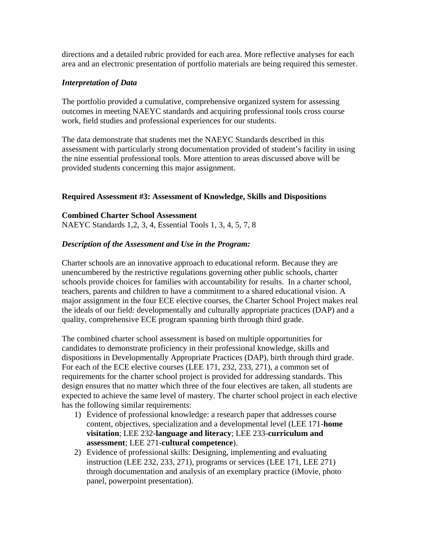directions and a detailed rubric provided for each area. More reflective analyses for each area and an electronic presentation of portfolio materials are being required this semester.

#### *Interpretation of Data*

The portfolio provided a cumulative, comprehensive organized system for assessing outcomes in meeting NAEYC standards and acquiring professional tools cross course work, field studies and professional experiences for our students.

The data demonstrate that students met the NAEYC Standards described in this assessment with particularly strong documentation provided of student's facility in using the nine essential professional tools. More attention to areas discussed above will be provided students concerning this major assignment.

#### **Required Assessment #3: Assessment of Knowledge, Skills and Dispositions**

**Combined Charter School Assessment**  NAEYC Standards 1,2, 3, 4, Essential Tools 1, 3, 4, 5, 7, 8

#### *Description of the Assessment and Use in the Program:*

Charter schools are an innovative approach to educational reform. Because they are unencumbered by the restrictive regulations governing other public schools, charter schools provide choices for families with accountability for results. In a charter school, teachers, parents and children to have a commitment to a shared educational vision. A major assignment in the four ECE elective courses, the Charter School Project makes real the ideals of our field: developmentally and culturally appropriate practices (DAP) and a quality, comprehensive ECE program spanning birth through third grade.

The combined charter school assessment is based on multiple opportunities for candidates to demonstrate proficiency in their professional knowledge, skills and dispositions in Developmentally Appropriate Practices (DAP), birth through third grade. For each of the ECE elective courses (LEE 171, 232, 233, 271), a common set of requirements for the charter school project is provided for addressing standards. This design ensures that no matter which three of the four electives are taken, all students are expected to achieve the same level of mastery. The charter school project in each elective has the following similar requirements:

- 1) Evidence of professional knowledge: a research paper that addresses course content, objectives, specialization and a developmental level (LEE 171-**home visitation**; LEE 232-**language and literacy**; LEE 233-**curriculum and assessment**; LEE 271-**cultural competence**).
- 2) Evidence of professional skills: Designing, implementing and evaluating instruction (LEE 232, 233, 271), programs or services (LEE 171, LEE 271) through documentation and analysis of an exemplary practice (iMovie, photo panel, powerpoint presentation).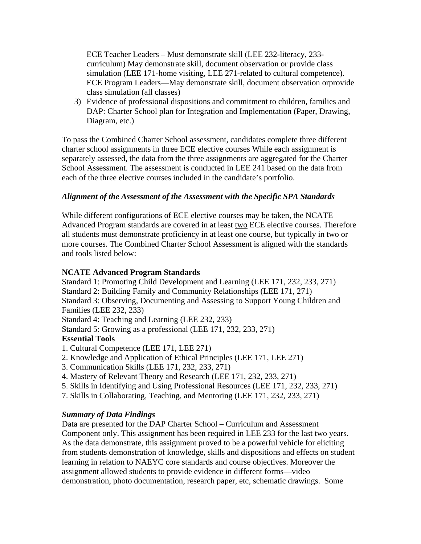ECE Teacher Leaders – Must demonstrate skill (LEE 232-literacy, 233 curriculum) May demonstrate skill, document observation or provide class simulation (LEE 171-home visiting, LEE 271-related to cultural competence). ECE Program Leaders—May demonstrate skill, document observation orprovide class simulation (all classes)

3) Evidence of professional dispositions and commitment to children, families and DAP: Charter School plan for Integration and Implementation (Paper, Drawing, Diagram, etc.)

To pass the Combined Charter School assessment, candidates complete three different charter school assignments in three ECE elective courses While each assignment is separately assessed, the data from the three assignments are aggregated for the Charter School Assessment. The assessment is conducted in LEE 241 based on the data from each of the three elective courses included in the candidate's portfolio.

## *Alignment of the Assessment of the Assessment with the Specific SPA Standards*

While different configurations of ECE elective courses may be taken, the NCATE Advanced Program standards are covered in at least two ECE elective courses. Therefore all students must demonstrate proficiency in at least one course, but typically in two or more courses. The Combined Charter School Assessment is aligned with the standards and tools listed below:

#### **NCATE Advanced Program Standards**

Standard 1: Promoting Child Development and Learning (LEE 171, 232, 233, 271) Standard 2: Building Family and Community Relationships (LEE 171, 271) Standard 3: Observing, Documenting and Assessing to Support Young Children and Families (LEE 232, 233) Standard 4: Teaching and Learning (LEE 232, 233) Standard 5: Growing as a professional (LEE 171, 232, 233, 271) **Essential Tools** 

- 1. Cultural Competence (LEE 171, LEE 271)
- 2. Knowledge and Application of Ethical Principles (LEE 171, LEE 271)
- 3. Communication Skills (LEE 171, 232, 233, 271)
- 4. Mastery of Relevant Theory and Research (LEE 171, 232, 233, 271)
- 5. Skills in Identifying and Using Professional Resources (LEE 171, 232, 233, 271)
- 7. Skills in Collaborating, Teaching, and Mentoring (LEE 171, 232, 233, 271)

## *Summary of Data Findings*

Data are presented for the DAP Charter School – Curriculum and Assessment Component only. This assignment has been required in LEE 233 for the last two years. As the data demonstrate, this assignment proved to be a powerful vehicle for eliciting from students demonstration of knowledge, skills and dispositions and effects on student learning in relation to NAEYC core standards and course objectives. Moreover the assignment allowed students to provide evidence in different forms—video demonstration, photo documentation, research paper, etc, schematic drawings. Some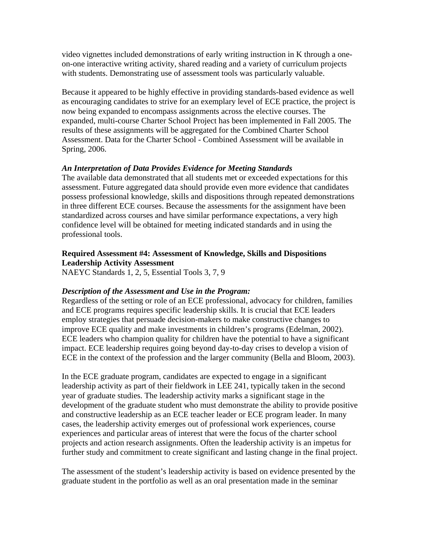video vignettes included demonstrations of early writing instruction in K through a oneon-one interactive writing activity, shared reading and a variety of curriculum projects with students. Demonstrating use of assessment tools was particularly valuable.

Because it appeared to be highly effective in providing standards-based evidence as well as encouraging candidates to strive for an exemplary level of ECE practice, the project is now being expanded to encompass assignments across the elective courses. The expanded, multi-course Charter School Project has been implemented in Fall 2005. The results of these assignments will be aggregated for the Combined Charter School Assessment. Data for the Charter School - Combined Assessment will be available in Spring, 2006.

#### *An Interpretation of Data Provides Evidence for Meeting Standards*

The available data demonstrated that all students met or exceeded expectations for this assessment. Future aggregated data should provide even more evidence that candidates possess professional knowledge, skills and dispositions through repeated demonstrations in three different ECE courses. Because the assessments for the assignment have been standardized across courses and have similar performance expectations, a very high confidence level will be obtained for meeting indicated standards and in using the professional tools.

#### **Required Assessment #4: Assessment of Knowledge, Skills and Dispositions Leadership Activity Assessment**

NAEYC Standards 1, 2, 5, Essential Tools 3, 7, 9

#### *Description of the Assessment and Use in the Program:*

Regardless of the setting or role of an ECE professional, advocacy for children, families and ECE programs requires specific leadership skills. It is crucial that ECE leaders employ strategies that persuade decision-makers to make constructive changes to improve ECE quality and make investments in children's programs (Edelman, 2002). ECE leaders who champion quality for children have the potential to have a significant impact. ECE leadership requires going beyond day-to-day crises to develop a vision of ECE in the context of the profession and the larger community (Bella and Bloom, 2003).

In the ECE graduate program, candidates are expected to engage in a significant leadership activity as part of their fieldwork in LEE 241, typically taken in the second year of graduate studies. The leadership activity marks a significant stage in the development of the graduate student who must demonstrate the ability to provide positive and constructive leadership as an ECE teacher leader or ECE program leader. In many cases, the leadership activity emerges out of professional work experiences, course experiences and particular areas of interest that were the focus of the charter school projects and action research assignments. Often the leadership activity is an impetus for further study and commitment to create significant and lasting change in the final project.

The assessment of the student's leadership activity is based on evidence presented by the graduate student in the portfolio as well as an oral presentation made in the seminar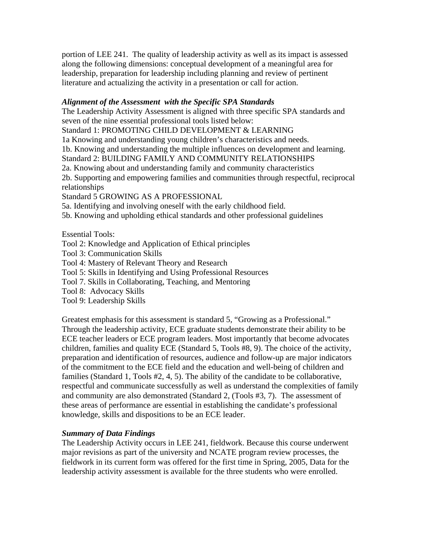portion of LEE 241. The quality of leadership activity as well as its impact is assessed along the following dimensions: conceptual development of a meaningful area for leadership, preparation for leadership including planning and review of pertinent literature and actualizing the activity in a presentation or call for action.

#### *Alignment of the Assessment with the Specific SPA Standards*

The Leadership Activity Assessment is aligned with three specific SPA standards and seven of the nine essential professional tools listed below:

Standard 1: PROMOTING CHILD DEVELOPMENT & LEARNING

1a Knowing and understanding young children's characteristics and needs.

1b. Knowing and understanding the multiple influences on development and learning.

Standard 2: BUILDING FAMILY AND COMMUNITY RELATIONSHIPS

2a. Knowing about and understanding family and community characteristics

2b. Supporting and empowering families and communities through respectful, reciprocal relationships

Standard 5 GROWING AS A PROFESSIONAL

5a. Identifying and involving oneself with the early childhood field.

5b. Knowing and upholding ethical standards and other professional guidelines

Essential Tools:

- Tool 2: Knowledge and Application of Ethical principles
- Tool 3: Communication Skills
- Tool 4: Mastery of Relevant Theory and Research
- Tool 5: Skills in Identifying and Using Professional Resources
- Tool 7. Skills in Collaborating, Teaching, and Mentoring
- Tool 8: Advocacy Skills
- Tool 9: Leadership Skills

Greatest emphasis for this assessment is standard 5, "Growing as a Professional." Through the leadership activity, ECE graduate students demonstrate their ability to be ECE teacher leaders or ECE program leaders. Most importantly that become advocates children, families and quality ECE (Standard 5, Tools #8, 9). The choice of the activity, preparation and identification of resources, audience and follow-up are major indicators of the commitment to the ECE field and the education and well-being of children and families (Standard 1, Tools #2, 4, 5). The ability of the candidate to be collaborative, respectful and communicate successfully as well as understand the complexities of family and community are also demonstrated (Standard 2, (Tools #3, 7). The assessment of these areas of performance are essential in establishing the candidate's professional knowledge, skills and dispositions to be an ECE leader.

## *Summary of Data Findings*

The Leadership Activity occurs in LEE 241, fieldwork. Because this course underwent major revisions as part of the university and NCATE program review processes, the fieldwork in its current form was offered for the first time in Spring, 2005, Data for the leadership activity assessment is available for the three students who were enrolled.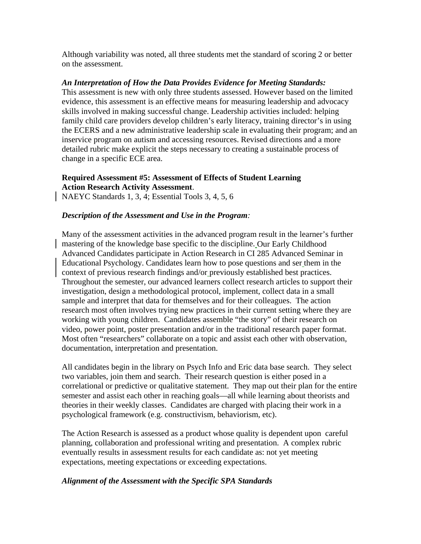Although variability was noted, all three students met the standard of scoring 2 or better on the assessment.

#### *An Interpretation of How the Data Provides Evidence for Meeting Standards:*

This assessment is new with only three students assessed. However based on the limited evidence, this assessment is an effective means for measuring leadership and advocacy skills involved in making successful change. Leadership activities included: helping family child care providers develop children's early literacy, training director's in using the ECERS and a new administrative leadership scale in evaluating their program; and an inservice program on autism and accessing resources. Revised directions and a more detailed rubric make explicit the steps necessary to creating a sustainable process of change in a specific ECE area.

## **Required Assessment #5: Assessment of Effects of Student Learning Action Research Activity Assessment**.

NAEYC Standards 1, 3, 4; Essential Tools 3, 4, 5, 6

#### *Description of the Assessment and Use in the Program:*

Many of the assessment activities in the advanced program result in the learner's further mastering of the knowledge base specific to the discipline. Our Early Childhood Advanced Candidates participate in Action Research in CI 285 Advanced Seminar in Educational Psychology. Candidates learn how to pose questions and ser them in the context of previous research findings and/or previously established best practices. Throughout the semester, our advanced learners collect research articles to support their investigation, design a methodological protocol, implement, collect data in a small sample and interpret that data for themselves and for their colleagues. The action research most often involves trying new practices in their current setting where they are working with young children. Candidates assemble "the story" of their research on video, power point, poster presentation and/or in the traditional research paper format. Most often "researchers" collaborate on a topic and assist each other with observation, documentation, interpretation and presentation.

All candidates begin in the library on Psych Info and Eric data base search. They select two variables, join them and search. Their research question is either posed in a correlational or predictive or qualitative statement. They map out their plan for the entire semester and assist each other in reaching goals—all while learning about theorists and theories in their weekly classes. Candidates are charged with placing their work in a psychological framework (e.g. constructivism, behaviorism, etc).

The Action Research is assessed as a product whose quality is dependent upon careful planning, collaboration and professional writing and presentation. A complex rubric eventually results in assessment results for each candidate as: not yet meeting expectations, meeting expectations or exceeding expectations.

#### *Alignment of the Assessment with the Specific SPA Standards*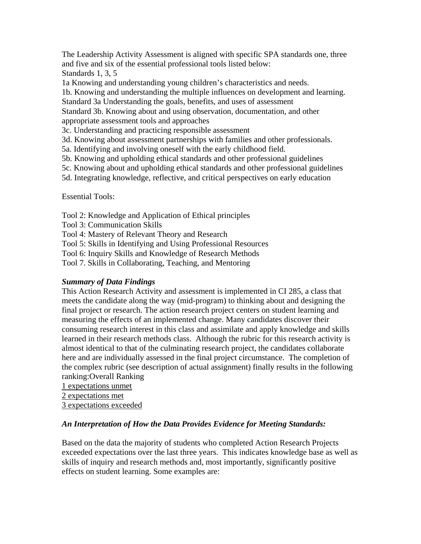The Leadership Activity Assessment is aligned with specific SPA standards one, three and five and six of the essential professional tools listed below: Standards 1, 3, 5

1a Knowing and understanding young children's characteristics and needs.

1b. Knowing and understanding the multiple influences on development and learning.

Standard 3a Understanding the goals, benefits, and uses of assessment

Standard 3b. Knowing about and using observation, documentation, and other appropriate assessment tools and approaches

3c. Understanding and practicing responsible assessment

3d. Knowing about assessment partnerships with families and other professionals.

- 5a. Identifying and involving oneself with the early childhood field.
- 5b. Knowing and upholding ethical standards and other professional guidelines

5c. Knowing about and upholding ethical standards and other professional guidelines

5d. Integrating knowledge, reflective, and critical perspectives on early education

Essential Tools:

Tool 2: Knowledge and Application of Ethical principles

Tool 3: Communication Skills

Tool 4: Mastery of Relevant Theory and Research

Tool 5: Skills in Identifying and Using Professional Resources

Tool 6: Inquiry Skills and Knowledge of Research Methods

Tool 7. Skills in Collaborating, Teaching, and Mentoring

## *Summary of Data Findings*

This Action Research Activity and assessment is implemented in CI 285, a class that meets the candidate along the way (mid-program) to thinking about and designing the final project or research. The action research project centers on student learning and measuring the effects of an implemented change. Many candidates discover their consuming research interest in this class and assimilate and apply knowledge and skills learned in their research methods class. Although the rubric for this research activity is almost identical to that of the culminating research project, the candidates collaborate here and are individually assessed in the final project circumstance. The completion of the complex rubric (see description of actual assignment) finally results in the following ranking:Overall Ranking

1 expectations unmet

2 expectations met

3 expectations exceeded

#### *An Interpretation of How the Data Provides Evidence for Meeting Standards:*

 Based on the data the majority of students who completed Action Research Projects exceeded expectations over the last three years. This indicates knowledge base as well as skills of inquiry and research methods and, most importantly, significantly positive effects on student learning. Some examples are: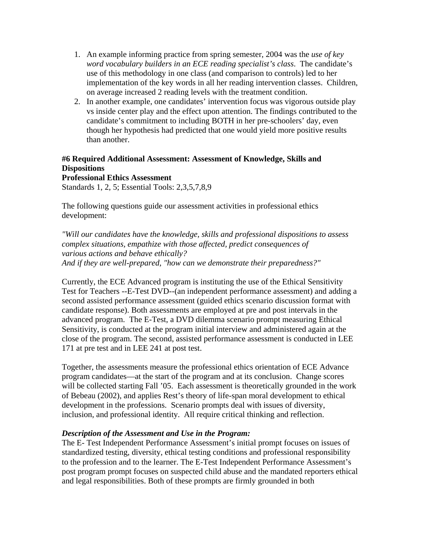- 1. An example informing practice from spring semester, 2004 was the *use of key word vocabulary builders in an ECE reading specialist's class*. The candidate's use of this methodology in one class (and comparison to controls) led to her implementation of the key words in all her reading intervention classes. Children, on average increased 2 reading levels with the treatment condition.
- 2. In another example, one candidates' intervention focus was vigorous outside play vs inside center play and the effect upon attention. The findings contributed to the candidate's commitment to including BOTH in her pre-schoolers' day, even though her hypothesis had predicted that one would yield more positive results than another.

# **#6 Required Additional Assessment: Assessment of Knowledge, Skills and Dispositions**

**Professional Ethics Assessment**  Standards 1, 2, 5; Essential Tools: 2,3,5,7,8,9

The following questions guide our assessment activities in professional ethics development:

*"Will our candidates have the knowledge, skills and professional dispositions to assess complex situations, empathize with those affected, predict consequences of various actions and behave ethically? And if they are well-prepared, "how can we demonstrate their preparedness?"*

Currently, the ECE Advanced program is instituting the use of the Ethical Sensitivity Test for Teachers --E-Test DVD--(an independent performance assessment) and adding a second assisted performance assessment (guided ethics scenario discussion format with candidate response). Both assessments are employed at pre and post intervals in the advanced program. The E-Test, a DVD dilemma scenario prompt measuring Ethical Sensitivity, is conducted at the program initial interview and administered again at the close of the program. The second, assisted performance assessment is conducted in LEE 171 at pre test and in LEE 241 at post test.

Together, the assessments measure the professional ethics orientation of ECE Advance program candidates—at the start of the program and at its conclusion. Change scores will be collected starting Fall '05. Each assessment is theoretically grounded in the work of Bebeau (2002), and applies Rest's theory of life-span moral development to ethical development in the professions. Scenario prompts deal with issues of diversity, inclusion, and professional identity. All require critical thinking and reflection.

## *Description of the Assessment and Use in the Program:*

The E- Test Independent Performance Assessment's initial prompt focuses on issues of standardized testing, diversity, ethical testing conditions and professional responsibility to the profession and to the learner. The E-Test Independent Performance Assessment's post program prompt focuses on suspected child abuse and the mandated reporters ethical and legal responsibilities. Both of these prompts are firmly grounded in both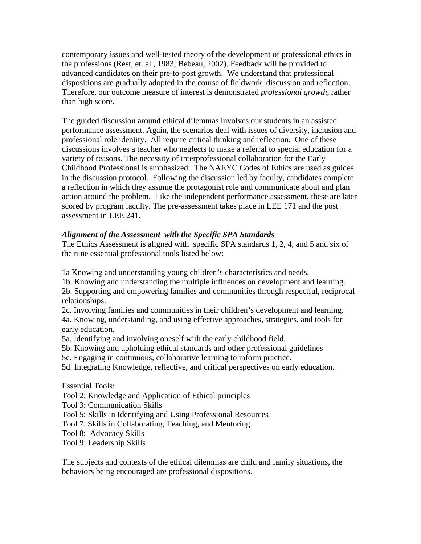contemporary issues and well-tested theory of the development of professional ethics in the professions (Rest, et. al., 1983; Bebeau, 2002). Feedback will be provided to advanced candidates on their pre-to-post growth. We understand that professional dispositions are gradually adopted in the course of fieldwork, discussion and reflection. Therefore, our outcome measure of interest is demonstrated *professional growth*, rather than high score.

The guided discussion around ethical dilemmas involves our students in an assisted performance assessment. Again, the scenarios deal with issues of diversity, inclusion and professional role identity. All require critical thinking and reflection. One of these discussions involves a teacher who neglects to make a referral to special education for a variety of reasons. The necessity of interprofessional collaboration for the Early Childhood Professional is emphasized. The NAEYC Codes of Ethics are used as guides in the discussion protocol. Following the discussion led by faculty, candidates complete a reflection in which they assume the protagonist role and communicate about and plan action around the problem. Like the independent performance assessment, these are later scored by program faculty. The pre-assessment takes place in LEE 171 and the post assessment in LEE 241.

## *Alignment of the Assessment with the Specific SPA Standards*

The Ethics Assessment is aligned with specific SPA standards 1, 2, 4, and 5 and six of the nine essential professional tools listed below:

1a Knowing and understanding young children's characteristics and needs.

1b. Knowing and understanding the multiple influences on development and learning.

2b. Supporting and empowering families and communities through respectful, reciprocal relationships.

2c. Involving families and communities in their children's development and learning.

4a. Knowing, understanding, and using effective approaches, strategies, and tools for early education.

- 5a. Identifying and involving oneself with the early childhood field.
- 5b. Knowing and upholding ethical standards and other professional guidelines
- 5c. Engaging in continuous, collaborative learning to inform practice.
- 5d. Integrating Knowledge, reflective, and critical perspectives on early education.

Essential Tools:

Tool 2: Knowledge and Application of Ethical principles

Tool 3: Communication Skills

- Tool 5: Skills in Identifying and Using Professional Resources
- Tool 7. Skills in Collaborating, Teaching, and Mentoring

Tool 8: Advocacy Skills

Tool 9: Leadership Skills

The subjects and contexts of the ethical dilemmas are child and family situations, the behaviors being encouraged are professional dispositions.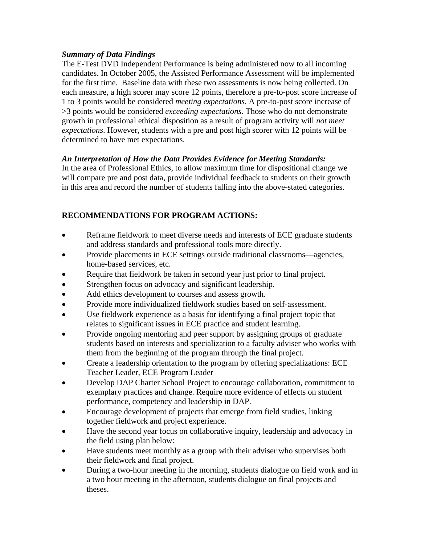## *Summary of Data Findings*

The E-Test DVD Independent Performance is being administered now to all incoming candidates. In October 2005, the Assisted Performance Assessment will be implemented for the first time. Baseline data with these two assessments is now being collected. On each measure, a high scorer may score 12 points, therefore a pre-to-post score increase of 1 to 3 points would be considered *meeting expectations*. A pre-to-post score increase of >3 points would be considered *exceeding expectations*. Those who do not demonstrate growth in professional ethical disposition as a result of program activity will *not meet expectations*. However, students with a pre and post high scorer with 12 points will be determined to have met expectations.

## *An Interpretation of How the Data Provides Evidence for Meeting Standards:*

In the area of Professional Ethics, to allow maximum time for dispositional change we will compare pre and post data, provide individual feedback to students on their growth in this area and record the number of students falling into the above-stated categories.

# **RECOMMENDATIONS FOR PROGRAM ACTIONS:**

- Reframe fieldwork to meet diverse needs and interests of ECE graduate students and address standards and professional tools more directly.
- Provide placements in ECE settings outside traditional classrooms—agencies, home-based services, etc.
- Require that fieldwork be taken in second year just prior to final project.
- Strengthen focus on advocacy and significant leadership.
- Add ethics development to courses and assess growth.
- Provide more individualized fieldwork studies based on self-assessment.
- Use fieldwork experience as a basis for identifying a final project topic that relates to significant issues in ECE practice and student learning.
- Provide ongoing mentoring and peer support by assigning groups of graduate students based on interests and specialization to a faculty adviser who works with them from the beginning of the program through the final project.
- Create a leadership orientation to the program by offering specializations: ECE Teacher Leader, ECE Program Leader
- Develop DAP Charter School Project to encourage collaboration, commitment to exemplary practices and change. Require more evidence of effects on student performance, competency and leadership in DAP.
- Encourage development of projects that emerge from field studies, linking together fieldwork and project experience.
- Have the second year focus on collaborative inquiry, leadership and advocacy in the field using plan below:
- Have students meet monthly as a group with their adviser who supervises both their fieldwork and final project.
- During a two-hour meeting in the morning, students dialogue on field work and in a two hour meeting in the afternoon, students dialogue on final projects and theses.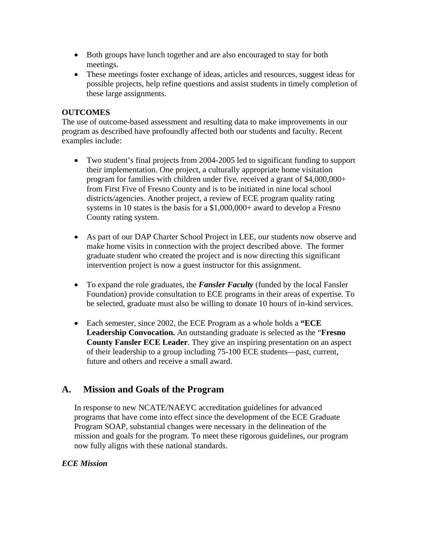- Both groups have lunch together and are also encouraged to stay for both meetings.
- These meetings foster exchange of ideas, articles and resources, suggest ideas for possible projects, help refine questions and assist students in timely completion of these large assignments.

## **OUTCOMES**

The use of outcome-based assessment and resulting data to make improvements in our program as described have profoundly affected both our students and faculty. Recent examples include:

- Two student's final projects from 2004-2005 led to significant funding to support their implementation. One project, a culturally appropriate home visitation program for families with children under five, received a grant of \$4,000,000+ from First Five of Fresno County and is to be initiated in nine local school districts/agencies. Another project, a review of ECE program quality rating systems in 10 states is the basis for a \$1,000,000+ award to develop a Fresno County rating system.
- As part of our DAP Charter School Project in LEE, our students now observe and make home visits in connection with the project described above. The former graduate student who created the project and is now directing this significant intervention project is now a guest instructor for this assignment.
- To expand the role graduates, the **Fansler Faculty** (funded by the local Fansler Foundation) provide consultation to ECE programs in their areas of expertise. To be selected, graduate must also be willing to donate 10 hours of in-kind services.
- Each semester, since 2002, the ECE Program as a whole holds a **"ECE Leadership Convocation.** An outstanding graduate is selected as the "**Fresno County Fansler ECE Leader**. They give an inspiring presentation on an aspect of their leadership to a group including 75-100 ECE students—past, current, future and others and receive a small award.

# **A. Mission and Goals of the Program**

In response to new NCATE/NAEYC accreditation guidelines for advanced programs that have come into effect since the development of the ECE Graduate Program SOAP, substantial changes were necessary in the delineation of the mission and goals for the program. To meet these rigorous guidelines, our program now fully aligns with these national standards.

## *ECE Mission*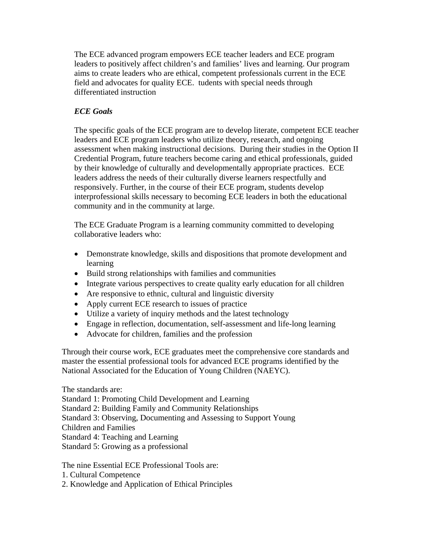The ECE advanced program empowers ECE teacher leaders and ECE program leaders to positively affect children's and families' lives and learning. Our program aims to create leaders who are ethical, competent professionals current in the ECE field and advocates for quality ECE. tudents with special needs through differentiated instruction

## *ECE Goals*

The specific goals of the ECE program are to develop literate, competent ECE teacher leaders and ECE program leaders who utilize theory, research, and ongoing assessment when making instructional decisions. During their studies in the Option II Credential Program, future teachers become caring and ethical professionals, guided by their knowledge of culturally and developmentally appropriate practices. ECE leaders address the needs of their culturally diverse learners respectfully and responsively. Further, in the course of their ECE program, students develop interprofessional skills necessary to becoming ECE leaders in both the educational community and in the community at large.

The ECE Graduate Program is a learning community committed to developing collaborative leaders who:

- Demonstrate knowledge, skills and dispositions that promote development and learning
- Build strong relationships with families and communities
- Integrate various perspectives to create quality early education for all children
- Are responsive to ethnic, cultural and linguistic diversity
- Apply current ECE research to issues of practice
- Utilize a variety of inquiry methods and the latest technology
- Engage in reflection, documentation, self-assessment and life-long learning
- Advocate for children, families and the profession

Through their course work, ECE graduates meet the comprehensive core standards and master the essential professional tools for advanced ECE programs identified by the National Associated for the Education of Young Children (NAEYC).

The standards are:

Standard 1: Promoting Child Development and Learning

Standard 2: Building Family and Community Relationships

Standard 3: Observing, Documenting and Assessing to Support Young

Children and Families

Standard 4: Teaching and Learning

Standard 5: Growing as a professional

The nine Essential ECE Professional Tools are:

- 1. Cultural Competence
- 2. Knowledge and Application of Ethical Principles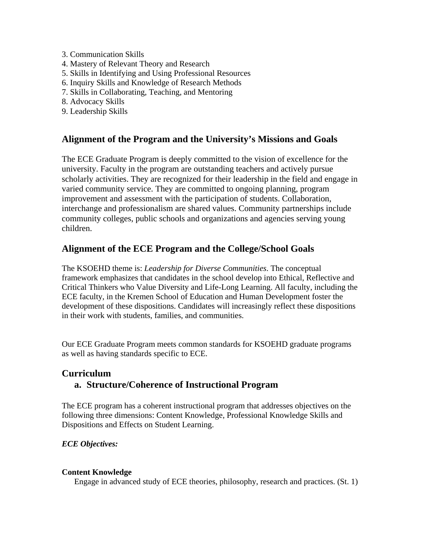- 3. Communication Skills
- 4. Mastery of Relevant Theory and Research
- 5. Skills in Identifying and Using Professional Resources
- 6. Inquiry Skills and Knowledge of Research Methods
- 7. Skills in Collaborating, Teaching, and Mentoring
- 8. Advocacy Skills
- 9. Leadership Skills

# **Alignment of the Program and the University's Missions and Goals**

The ECE Graduate Program is deeply committed to the vision of excellence for the university. Faculty in the program are outstanding teachers and actively pursue scholarly activities. They are recognized for their leadership in the field and engage in varied community service. They are committed to ongoing planning, program improvement and assessment with the participation of students. Collaboration, interchange and professionalism are shared values. Community partnerships include community colleges, public schools and organizations and agencies serving young children.

# **Alignment of the ECE Program and the College/School Goals**

The KSOEHD theme is: *Leadership for Diverse Communities*. The conceptual framework emphasizes that candidates in the school develop into Ethical, Reflective and Critical Thinkers who Value Diversity and Life-Long Learning. All faculty, including the ECE faculty, in the Kremen School of Education and Human Development foster the development of these dispositions. Candidates will increasingly reflect these dispositions in their work with students, families, and communities.

Our ECE Graduate Program meets common standards for KSOEHD graduate programs as well as having standards specific to ECE.

# **Curriculum a. Structure/Coherence of Instructional Program**

The ECE program has a coherent instructional program that addresses objectives on the following three dimensions: Content Knowledge, Professional Knowledge Skills and Dispositions and Effects on Student Learning.

## *ECE Objectives:*

#### **Content Knowledge**

Engage in advanced study of ECE theories, philosophy, research and practices. (St. 1)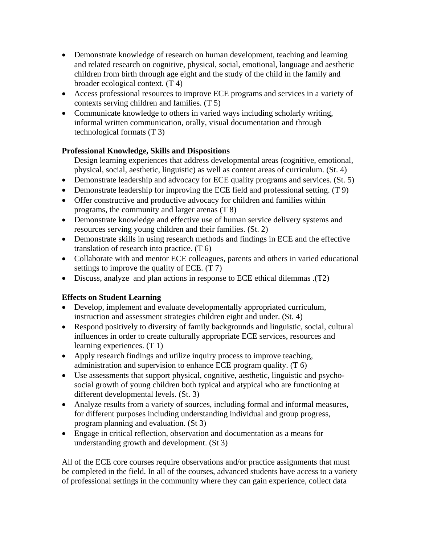- Demonstrate knowledge of research on human development, teaching and learning and related research on cognitive, physical, social, emotional, language and aesthetic children from birth through age eight and the study of the child in the family and broader ecological context. (T 4)
- Access professional resources to improve ECE programs and services in a variety of contexts serving children and families. (T 5)
- Communicate knowledge to others in varied ways including scholarly writing, informal written communication, orally, visual documentation and through technological formats (T 3)

## **Professional Knowledge, Skills and Dispositions**

Design learning experiences that address developmental areas (cognitive, emotional, physical, social, aesthetic, linguistic) as well as content areas of curriculum. (St. 4)

- Demonstrate leadership and advocacy for ECE quality programs and services. (St. 5)
- Demonstrate leadership for improving the ECE field and professional setting. (T 9)
- Offer constructive and productive advocacy for children and families within programs, the community and larger arenas (T 8)
- Demonstrate knowledge and effective use of human service delivery systems and resources serving young children and their families. (St. 2)
- Demonstrate skills in using research methods and findings in ECE and the effective translation of research into practice. (T 6)
- Collaborate with and mentor ECE colleagues, parents and others in varied educational settings to improve the quality of ECE. (T 7)
- Discuss, analyze and plan actions in response to ECE ethical dilemmas .(T2)

# **Effects on Student Learning**

- Develop, implement and evaluate developmentally appropriated curriculum, instruction and assessment strategies children eight and under. (St. 4)
- Respond positively to diversity of family backgrounds and linguistic, social, cultural influences in order to create culturally appropriate ECE services, resources and learning experiences. (T 1)
- Apply research findings and utilize inquiry process to improve teaching, administration and supervision to enhance ECE program quality. (T 6)
- Use assessments that support physical, cognitive, aesthetic, linguistic and psychosocial growth of young children both typical and atypical who are functioning at different developmental levels. (St. 3)
- Analyze results from a variety of sources, including formal and informal measures, for different purposes including understanding individual and group progress, program planning and evaluation. (St 3)
- Engage in critical reflection, observation and documentation as a means for understanding growth and development. (St 3)

All of the ECE core courses require observations and/or practice assignments that must be completed in the field. In all of the courses, advanced students have access to a variety of professional settings in the community where they can gain experience, collect data